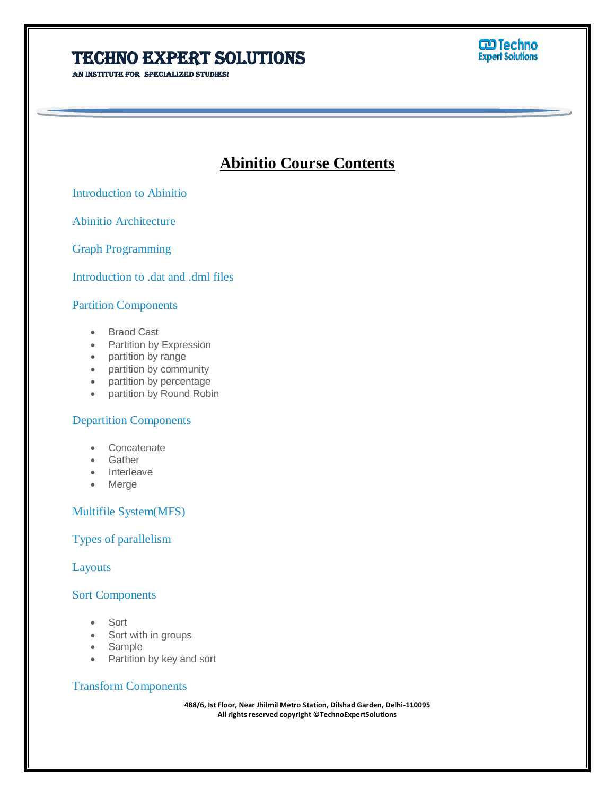# **TECHNO EXPERT SOLUTIONS**

AN INSTITUTE FOR SPECIALIZED STUDIES!



# **Abinitio Course Contents**

Ī

Introduction to Abinitio

Abinitio Architecture

Graph Programming

Introduction to .dat and .dml files

### Partition Components

- Braod Cast
- Partition by Expression
- partition by range
- partition by community
- partition by percentage
- partition by Round Robin

### Departition Components

- **Concatenate**
- Gather
- Interleave
- Merge

### Multifile System(MFS)

# Types of parallelism

Layouts

#### Sort Components

- Sort
- Sort with in groups
- Sample
- Partition by key and sort

# Transform Components

**488/6, Ist Floor, Near Jhilmil Metro Station, Dilshad Garden, Delhi-110095 All rights reserved copyright ©TechnoExpertSolutions**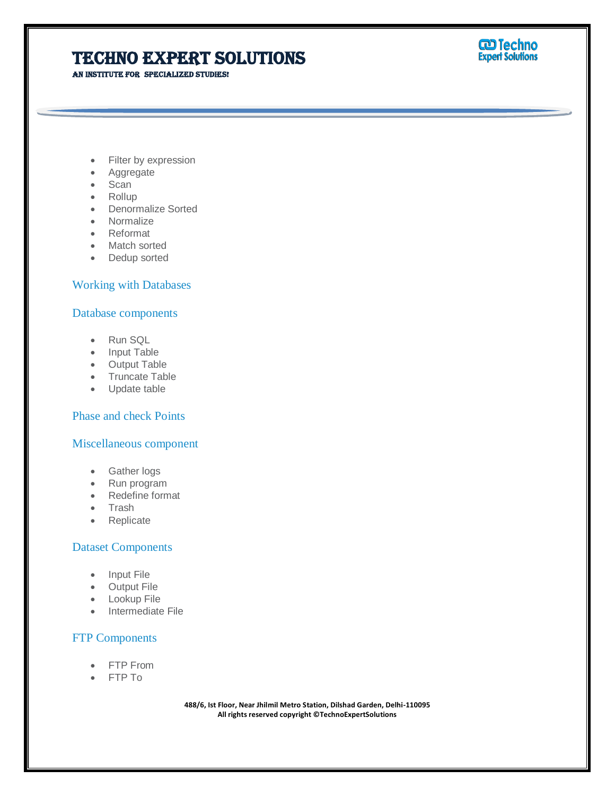# **TECHNO EXPERT SOLUTIONS**

AN INSTITUTE FOR SPECIALIZED STUDIES!



- Filter by expression
- Aggregate
- Scan
- Rollup
- Denormalize Sorted
- Normalize
- Reformat
- Match sorted
- Dedup sorted

### Working with Databases

#### Database components

- Run SQL
- Input Table
- Output Table
- Truncate Table
- Update table

### Phase and check Points

#### Miscellaneous component

- Gather logs
- Run program
- Redefine format
- Trash
- Replicate

#### Dataset Components

- Input File
- Output File
- **•** Lookup File
- Intermediate File

#### FTP Components

- FTP From
- FTP To

**488/6, Ist Floor, Near Jhilmil Metro Station, Dilshad Garden, Delhi-110095 All rights reserved copyright ©TechnoExpertSolutions**

Ī